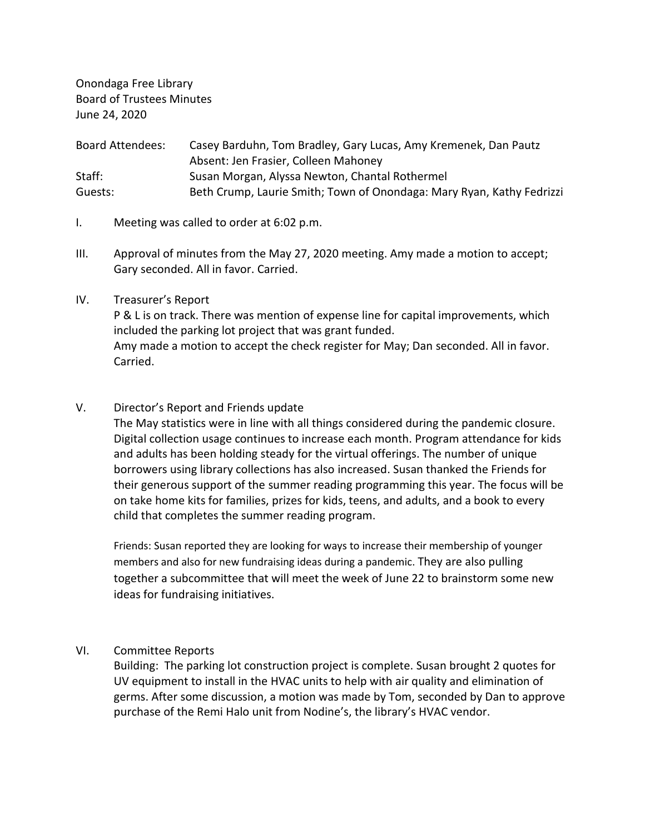Onondaga Free Library Board of Trustees Minutes June 24, 2020

| <b>Board Attendees:</b> | Casey Barduhn, Tom Bradley, Gary Lucas, Amy Kremenek, Dan Pautz       |
|-------------------------|-----------------------------------------------------------------------|
|                         | Absent: Jen Frasier, Colleen Mahoney                                  |
| Staff:                  | Susan Morgan, Alyssa Newton, Chantal Rothermel                        |
| Guests:                 | Beth Crump, Laurie Smith; Town of Onondaga: Mary Ryan, Kathy Fedrizzi |

- I. Meeting was called to order at 6:02 p.m.
- III. Approval of minutes from the May 27, 2020 meeting. Amy made a motion to accept; Gary seconded. All in favor. Carried.

### IV. Treasurer's Report

P & L is on track. There was mention of expense line for capital improvements, which included the parking lot project that was grant funded. Amy made a motion to accept the check register for May; Dan seconded. All in favor. Carried.

### V. Director's Report and Friends update

The May statistics were in line with all things considered during the pandemic closure. Digital collection usage continues to increase each month. Program attendance for kids and adults has been holding steady for the virtual offerings. The number of unique borrowers using library collections has also increased. Susan thanked the Friends for their generous support of the summer reading programming this year. The focus will be on take home kits for families, prizes for kids, teens, and adults, and a book to every child that completes the summer reading program.

Friends: Susan reported they are looking for ways to increase their membership of younger members and also for new fundraising ideas during a pandemic. They are also pulling together a subcommittee that will meet the week of June 22 to brainstorm some new ideas for fundraising initiatives.

### VI. Committee Reports

Building: The parking lot construction project is complete. Susan brought 2 quotes for UV equipment to install in the HVAC units to help with air quality and elimination of germs. After some discussion, a motion was made by Tom, seconded by Dan to approve purchase of the Remi Halo unit from Nodine's, the library's HVAC vendor.